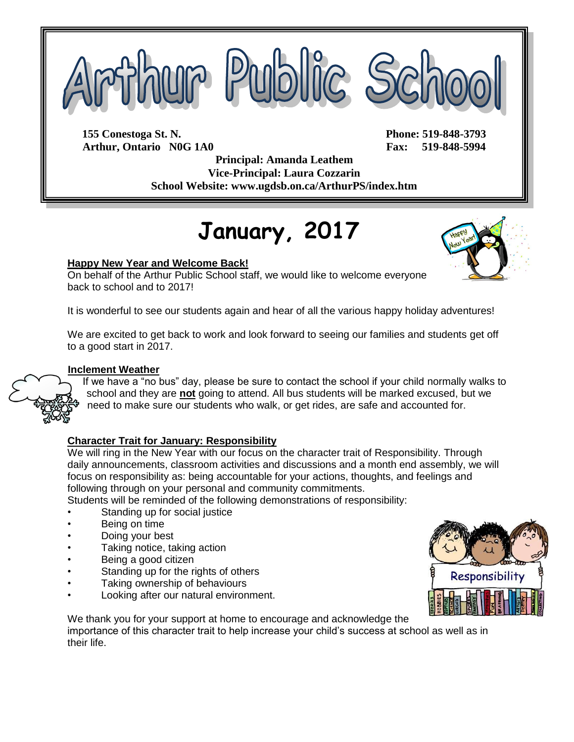

**155 Conestoga St. N. Phone: 519-848-3793 Arthur, Ontario N0G 1A0 Fax: 519-848-5994**

**Principal: Amanda Leathem Vice-Principal: Laura Cozzarin School Website: www.ugdsb.on.ca/ArthurPS/index.htm**

# **January, 2017**

### **Happy New Year and Welcome Back!**

On behalf of the Arthur Public School staff, we would like to welcome everyone back to school and to 2017!

It is wonderful to see our students again and hear of all the various happy holiday adventures!

We are excited to get back to work and look forward to seeing our families and students get off to a good start in 2017.

### **Inclement Weather**

If we have a "no bus" day, please be sure to contact the school if your child normally walks to school and they are **not** going to attend. All bus students will be marked excused, but we need to make sure our students who walk, or get rides, are safe and accounted for.

### **Character Trait for January: Responsibility**

We will ring in the New Year with our focus on the character trait of Responsibility. Through daily announcements, classroom activities and discussions and a month end assembly, we will focus on responsibility as: being accountable for your actions, thoughts, and feelings and following through on your personal and community commitments.

Students will be reminded of the following demonstrations of responsibility:

- Standing up for social justice
- Being on time
- Doing your best
- Taking notice, taking action
- Being a good citizen
- Standing up for the rights of others
- Taking ownership of behaviours
- Looking after our natural environment.



We thank you for your support at home to encourage and acknowledge the importance of this character trait to help increase your child's success at school as well as in their life.



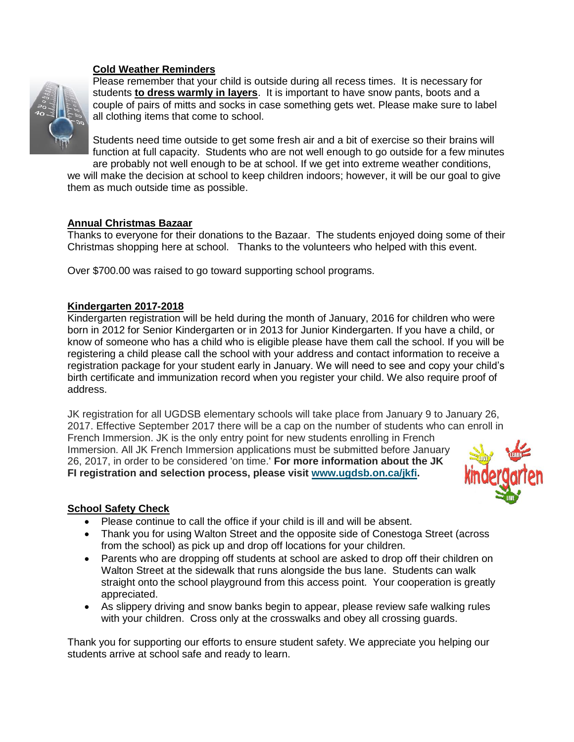### **Cold Weather Reminders**



Please remember that your child is outside during all recess times. It is necessary for students **to dress warmly in layers**. It is important to have snow pants, boots and a couple of pairs of mitts and socks in case something gets wet. Please make sure to label all clothing items that come to school.

Students need time outside to get some fresh air and a bit of exercise so their brains will function at full capacity. Students who are not well enough to go outside for a few minutes are probably not well enough to be at school. If we get into extreme weather conditions,

we will make the decision at school to keep children indoors; however, it will be our goal to give them as much outside time as possible.

### **Annual Christmas Bazaar**

Thanks to everyone for their donations to the Bazaar. The students enjoyed doing some of their Christmas shopping here at school. Thanks to the volunteers who helped with this event.

Over \$700.00 was raised to go toward supporting school programs.

#### **Kindergarten 2017-2018**

Kindergarten registration will be held during the month of January, 2016 for children who were born in 2012 for Senior Kindergarten or in 2013 for Junior Kindergarten. If you have a child, or know of someone who has a child who is eligible please have them call the school. If you will be registering a child please call the school with your address and contact information to receive a registration package for your student early in January. We will need to see and copy your child's birth certificate and immunization record when you register your child. We also require proof of address.

JK registration for all UGDSB elementary schools will take place from January 9 to January 26, 2017. Effective September 2017 there will be a cap on the number of students who can enroll in French Immersion. JK is the only entry point for new students enrolling in French Immersion. All JK French Immersion applications must be submitted before January 26, 2017, in order to be considered 'on time.' **For more information about the JK FI registration and selection process, please visit [www.ugdsb.on.ca/jkfi.](http://www.ugdsb.on.ca/jkfi/)**



### **School Safety Check**

- Please continue to call the office if your child is ill and will be absent.
- Thank you for using Walton Street and the opposite side of Conestoga Street (across from the school) as pick up and drop off locations for your children.
- Parents who are dropping off students at school are asked to drop off their children on Walton Street at the sidewalk that runs alongside the bus lane. Students can walk straight onto the school playground from this access point. Your cooperation is greatly appreciated.
- As slippery driving and snow banks begin to appear, please review safe walking rules with your children. Cross only at the crosswalks and obey all crossing guards.

Thank you for supporting our efforts to ensure student safety. We appreciate you helping our students arrive at school safe and ready to learn.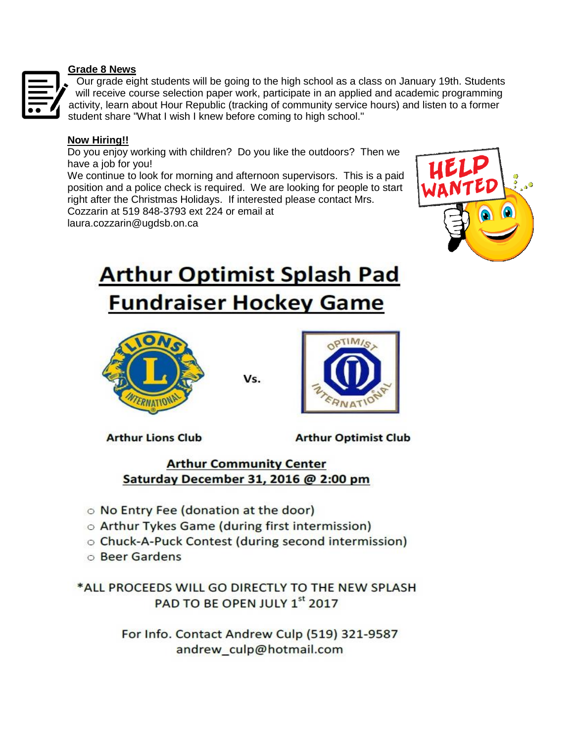### **Grade 8 News**



Our grade eight students will be going to the high school as a class on January 19th. Students will receive course selection paper work, participate in an applied and academic programming activity, learn about Hour Republic (tracking of community service hours) and listen to a former student share "What I wish I knew before coming to high school."

### **Now Hiring!!**

Do you enjoy working with children? Do you like the outdoors? Then we have a job for you!

We continue to look for morning and afternoon supervisors. This is a paid position and a police check is required. We are looking for people to start right after the Christmas Holidays. If interested please contact Mrs. Cozzarin at 519 848-3793 ext 224 or email at

laura.cozzarin@ugdsb.on.ca



## **Arthur Optimist Splash Pad Fundraiser Hockey Game**



Vs.



**Arthur Lions Club** 

**Arthur Optimist Club** 

## **Arthur Community Center** Saturday December 31, 2016 @ 2:00 pm

- O No Entry Fee (donation at the door)
- o Arthur Tykes Game (during first intermission)
- Chuck-A-Puck Contest (during second intermission)
- **Beer Gardens**

\*ALL PROCEEDS WILL GO DIRECTLY TO THE NEW SPLASH PAD TO BE OPEN JULY 1st 2017

> For Info. Contact Andrew Culp (519) 321-9587 andrew culp@hotmail.com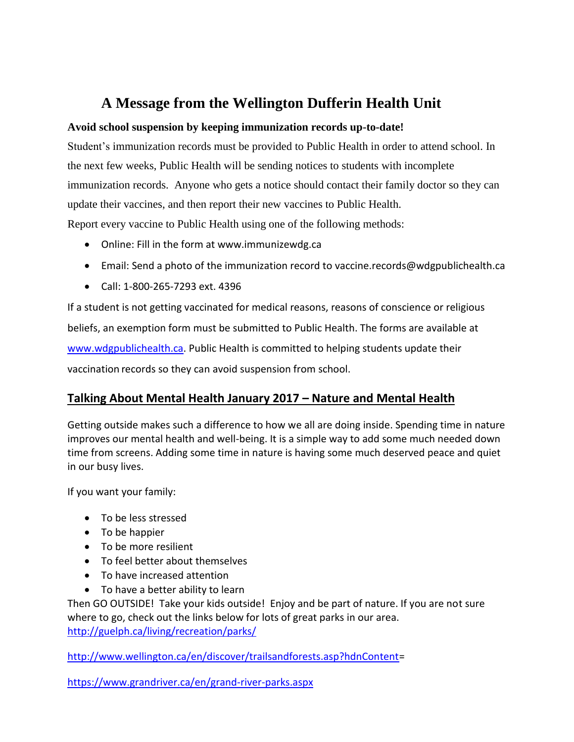## **A Message from the Wellington Dufferin Health Unit**

### **Avoid school suspension by keeping immunization records up-to-date!**

Student's immunization records must be provided to Public Health in order to attend school. In the next few weeks, Public Health will be sending notices to students with incomplete immunization records. Anyone who gets a notice should contact their family doctor so they can update their vaccines, and then report their new vaccines to Public Health.

Report every vaccine to Public Health using one of the following methods:

- Online: Fill in the form at www.immunizewdg.ca
- Email: Send a photo of the immunization record to vaccine.records@wdgpublichealth.ca
- Call: 1-800-265-7293 ext. 4396

If a student is not getting vaccinated for medical reasons, reasons of conscience or religious beliefs, an exemption form must be submitted to Public Health. The forms are available at [www.wdgpublichealth.ca.](http://www.wdgpublichealth.ca/) Public Health is committed to helping students update their vaccination records so they can avoid suspension from school.

## **Talking About Mental Health January 2017 – Nature and Mental Health**

Getting outside makes such a difference to how we all are doing inside. Spending time in nature improves our mental health and well-being. It is a simple way to add some much needed down time from screens. Adding some time in nature is having some much deserved peace and quiet in our busy lives.

If you want your family:

- To be less stressed
- To be happier
- To be more resilient
- To feel better about themselves
- To have increased attention
- To have a better ability to learn

Then GO OUTSIDE! Take your kids outside! Enjoy and be part of nature. If you are not sure where to go, check out the links below for lots of great parks in our area. <http://guelph.ca/living/recreation/parks/>

[http://www.wellington.ca/en/discover/trailsandforests.asp?hdnContent=](http://www.wellington.ca/en/discover/trailsandforests.asp?hdnContent)

<https://www.grandriver.ca/en/grand-river-parks.aspx>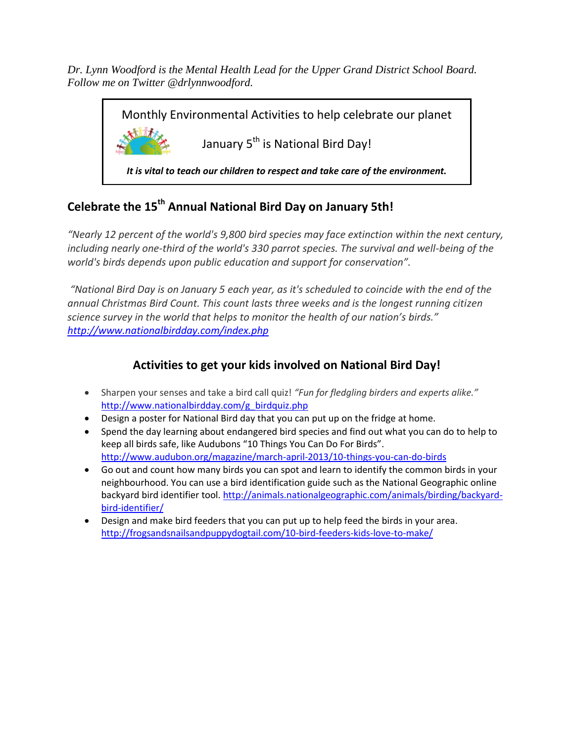*Dr. Lynn Woodford is the Mental Health Lead for the Upper Grand District School Board. Follow me on Twitter @drlynnwoodford.* 

> Monthly Environmental Activities to help celebrate our planet January 5<sup>th</sup> is National Bird Day! *It is vital to teach our children to respect and take care of the environment.*

## **Celebrate the 15th Annual National Bird Day on January 5th!**

*"Nearly 12 percent of the world's 9,800 bird species may face extinction within the next century, including nearly one-third of the world's 330 parrot species. The survival and well-being of the world's birds depends upon public education and support for conservation".*

*"National Bird Day is on January 5 each year, as it's scheduled to coincide with the end of the annual Christmas Bird Count. This count lasts three weeks and is the longest running citizen science survey in the world that helps to monitor the health of our nation's birds." <http://www.nationalbirdday.com/index.php>*

## **Activities to get your kids involved on National Bird Day!**

- Sharpen your senses and take a bird call quiz! *"Fun for fledgling birders and experts alike."*  [http://www.nationalbirdday.com/g\\_birdquiz.php](http://www.nationalbirdday.com/g_birdquiz.php)
- Design a poster for National Bird day that you can put up on the fridge at home.
- Spend the day learning about endangered bird species and find out what you can do to help to keep all birds safe, like Audubons "10 Things You Can Do For Birds". <http://www.audubon.org/magazine/march-april-2013/10-things-you-can-do-birds>
- Go out and count how many birds you can spot and learn to identify the common birds in your neighbourhood. You can use a bird identification guide such as the National Geographic online backyard bird identifier tool. [http://animals.nationalgeographic.com/animals/birding/backyard](http://animals.nationalgeographic.com/animals/birding/backyard-bird-identifier/)[bird-identifier/](http://animals.nationalgeographic.com/animals/birding/backyard-bird-identifier/)
- Design and make bird feeders that you can put up to help feed the birds in your area. <http://frogsandsnailsandpuppydogtail.com/10-bird-feeders-kids-love-to-make/>